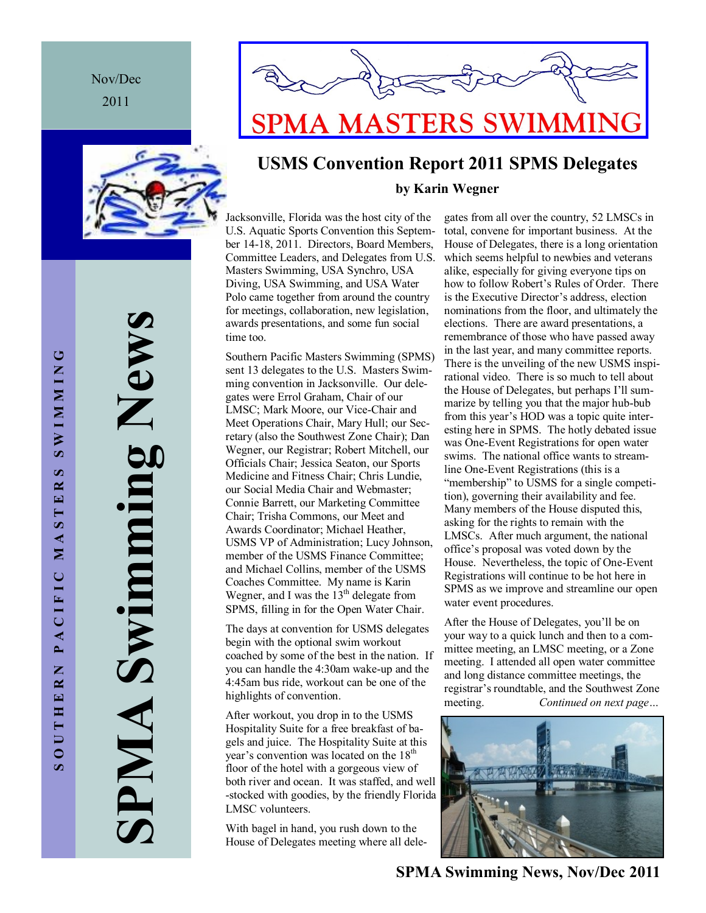Nov/Dec 2011



**SPMA Swimming News** ig News **Nimmiry** SPNIA



### **USMS Convention Report 2011 SPMS Delegates by Karin Wegner**

Jacksonville, Florida was the host city of the U.S. Aquatic Sports Convention this September 14-18, 2011. Directors, Board Members, Committee Leaders, and Delegates from U.S. Masters Swimming, USA Synchro, USA Diving, USA Swimming, and USA Water Polo came together from around the country for meetings, collaboration, new legislation, awards presentations, and some fun social time too.

Southern Pacific Masters Swimming (SPMS) sent 13 delegates to the U.S. Masters Swimming convention in Jacksonville. Our delegates were Errol Graham, Chair of our LMSC; Mark Moore, our Vice-Chair and Meet Operations Chair, Mary Hull; our Secretary (also the Southwest Zone Chair); Dan Wegner, our Registrar; Robert Mitchell, our Officials Chair; Jessica Seaton, our Sports Medicine and Fitness Chair; Chris Lundie, our Social Media Chair and Webmaster; Connie Barrett, our Marketing Committee Chair; Trisha Commons, our Meet and Awards Coordinator; Michael Heather, USMS VP of Administration; Lucy Johnson, member of the USMS Finance Committee; and Michael Collins, member of the USMS Coaches Committee. My name is Karin Wegner, and I was the  $13<sup>th</sup>$  delegate from SPMS, filling in for the Open Water Chair.

The days at convention for USMS delegates begin with the optional swim workout coached by some of the best in the nation. If you can handle the 4:30am wake-up and the 4:45am bus ride, workout can be one of the highlights of convention.

After workout, you drop in to the USMS Hospitality Suite for a free breakfast of bagels and juice. The Hospitality Suite at this year's convention was located on the 18<sup>th</sup> floor of the hotel with a gorgeous view of both river and ocean. It was staffed, and well -stocked with goodies, by the friendly Florida LMSC volunteers.

With bagel in hand, you rush down to the House of Delegates meeting where all delegates from all over the country, 52 LMSCs in total, convene for important business. At the House of Delegates, there is a long orientation which seems helpful to newbies and veterans alike, especially for giving everyone tips on how to follow Robert's Rules of Order. There is the Executive Director's address, election nominations from the floor, and ultimately the elections. There are award presentations, a remembrance of those who have passed away in the last year, and many committee reports. There is the unveiling of the new USMS inspirational video. There is so much to tell about the House of Delegates, but perhaps I'll summarize by telling you that the major hub-bub from this year's HOD was a topic quite interesting here in SPMS. The hotly debated issue was One-Event Registrations for open water swims. The national office wants to streamline One-Event Registrations (this is a "membership" to USMS for a single competition), governing their availability and fee. Many members of the House disputed this, asking for the rights to remain with the LMSCs. After much argument, the national office's proposal was voted down by the House. Nevertheless, the topic of One-Event Registrations will continue to be hot here in SPMS as we improve and streamline our open water event procedures.

After the House of Delegates, you'll be on your way to a quick lunch and then to a committee meeting, an LMSC meeting, or a Zone meeting. I attended all open water committee and long distance committee meetings, the registrar's roundtable, and the Southwest Zone meeting. *Continued on next page…*



**SPMA Swimming News, Nov/Dec 2011** 

**SWIMMING** SOUTHERN PACIFIC MASTERS SWIMMING  $\boldsymbol{\varphi}$  $\overline{\mathbf{z}}$ STE  $M \Lambda$ PACIFIC OUTHERN  $\mathbf{v}$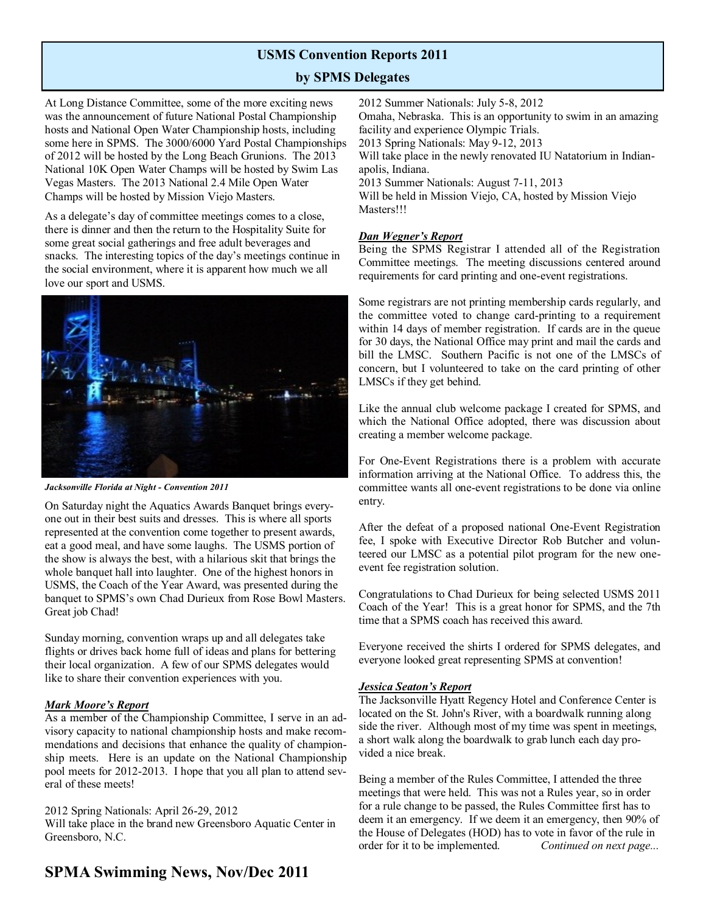### **USMS Convention Reports 2011**

### **by SPMS Delegates**

At Long Distance Committee, some of the more exciting news was the announcement of future National Postal Championship hosts and National Open Water Championship hosts, including some here in SPMS. The 3000/6000 Yard Postal Championships of 2012 will be hosted by the Long Beach Grunions. The 2013 National 10K Open Water Champs will be hosted by Swim Las Vegas Masters. The 2013 National 2.4 Mile Open Water Champs will be hosted by Mission Viejo Masters.

As a delegate's day of committee meetings comes to a close, there is dinner and then the return to the Hospitality Suite for some great social gatherings and free adult beverages and snacks. The interesting topics of the day's meetings continue in the social environment, where it is apparent how much we all love our sport and USMS.



*Jacksonville Florida at Night - Convention 2011*

On Saturday night the Aquatics Awards Banquet brings everyone out in their best suits and dresses. This is where all sports represented at the convention come together to present awards, eat a good meal, and have some laughs. The USMS portion of the show is always the best, with a hilarious skit that brings the whole banquet hall into laughter. One of the highest honors in USMS, the Coach of the Year Award, was presented during the banquet to SPMS's own Chad Durieux from Rose Bowl Masters. Great job Chad!

Sunday morning, convention wraps up and all delegates take flights or drives back home full of ideas and plans for bettering their local organization. A few of our SPMS delegates would like to share their convention experiences with you.

#### *Mark Moore's Report*

As a member of the Championship Committee, I serve in an advisory capacity to national championship hosts and make recommendations and decisions that enhance the quality of championship meets. Here is an update on the National Championship pool meets for 2012-2013. I hope that you all plan to attend several of these meets!

#### 2012 Spring Nationals: April 26-29, 2012

Will take place in the brand new Greensboro Aquatic Center in Greensboro, N.C.

### **SPMA Swimming News, Nov/Dec 2011**

2012 Summer Nationals: July 5-8, 2012 Omaha, Nebraska. This is an opportunity to swim in an amazing facility and experience Olympic Trials. 2013 Spring Nationals: May 9-12, 2013 Will take place in the newly renovated IU Natatorium in Indianapolis, Indiana. 2013 Summer Nationals: August 7-11, 2013 Will be held in Mission Viejo, CA, hosted by Mission Viejo Masters!!!

#### *Dan Wegner's Report*

Being the SPMS Registrar I attended all of the Registration Committee meetings. The meeting discussions centered around requirements for card printing and one-event registrations.

Some registrars are not printing membership cards regularly, and the committee voted to change card-printing to a requirement within 14 days of member registration. If cards are in the queue for 30 days, the National Office may print and mail the cards and bill the LMSC. Southern Pacific is not one of the LMSCs of concern, but I volunteered to take on the card printing of other LMSCs if they get behind.

Like the annual club welcome package I created for SPMS, and which the National Office adopted, there was discussion about creating a member welcome package.

For One-Event Registrations there is a problem with accurate information arriving at the National Office. To address this, the committee wants all one-event registrations to be done via online entry.

After the defeat of a proposed national One-Event Registration fee, I spoke with Executive Director Rob Butcher and volunteered our LMSC as a potential pilot program for the new oneevent fee registration solution.

Congratulations to Chad Durieux for being selected USMS 2011 Coach of the Year! This is a great honor for SPMS, and the 7th time that a SPMS coach has received this award.

Everyone received the shirts I ordered for SPMS delegates, and everyone looked great representing SPMS at convention!

#### *Jessica Seaton's Report*

The Jacksonville Hyatt Regency Hotel and Conference Center is located on the St. John's River, with a boardwalk running along side the river. Although most of my time was spent in meetings, a short walk along the boardwalk to grab lunch each day provided a nice break.

Being a member of the Rules Committee, I attended the three meetings that were held. This was not a Rules year, so in order for a rule change to be passed, the Rules Committee first has to deem it an emergency. If we deem it an emergency, then 90% of the House of Delegates (HOD) has to vote in favor of the rule in order for it to be implemented. *Continued on next page...*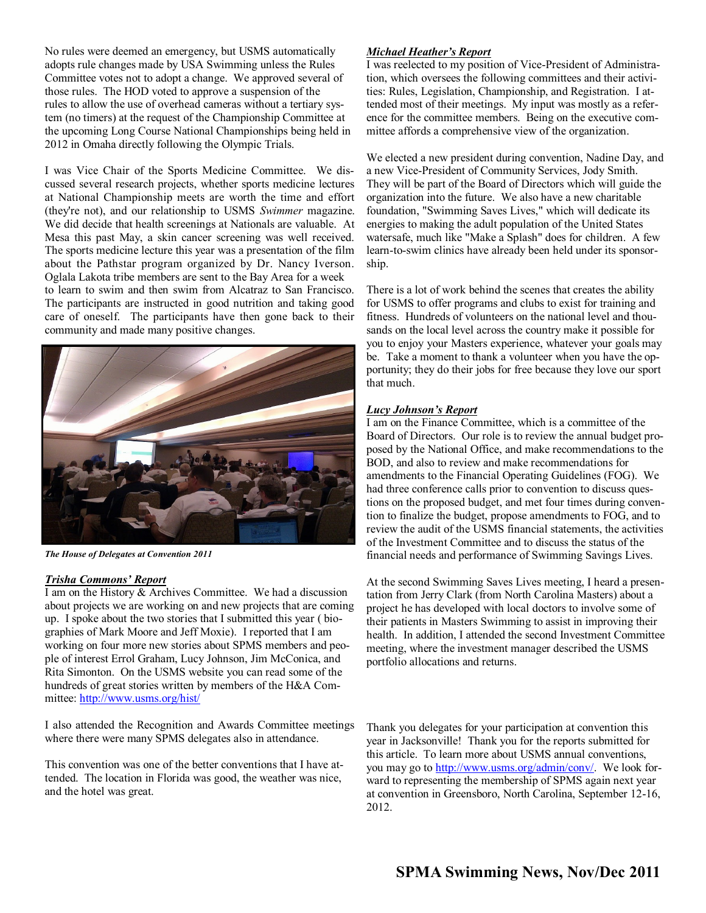No rules were deemed an emergency, but USMS automatically adopts rule changes made by USA Swimming unless the Rules Committee votes not to adopt a change. We approved several of those rules. The HOD voted to approve a suspension of the rules to allow the use of overhead cameras without a tertiary system (no timers) at the request of the Championship Committee at the upcoming Long Course National Championships being held in 2012 in Omaha directly following the Olympic Trials.

I was Vice Chair of the Sports Medicine Committee. We discussed several research projects, whether sports medicine lectures at National Championship meets are worth the time and effort (they're not), and our relationship to USMS *Swimmer* magazine. We did decide that health screenings at Nationals are valuable. At Mesa this past May, a skin cancer screening was well received. The sports medicine lecture this year was a presentation of the film about the Pathstar program organized by Dr. Nancy Iverson. Oglala Lakota tribe members are sent to the Bay Area for a week to learn to swim and then swim from Alcatraz to San Francisco. The participants are instructed in good nutrition and taking good care of oneself. The participants have then gone back to their community and made many positive changes.



*The House of Delegates at Convention 2011*

#### *Trisha Commons' Report*

I am on the History & Archives Committee. We had a discussion about projects we are working on and new projects that are coming up. I spoke about the two stories that I submitted this year ( biographies of Mark Moore and Jeff Moxie). I reported that I am working on four more new stories about SPMS members and people of interest Errol Graham, Lucy Johnson, Jim McConica, and Rita Simonton. On the USMS website you can read some of the hundreds of great stories written by members of the H&A Committee:<http://www.usms.org/hist/>

I also attended the Recognition and Awards Committee meetings where there were many SPMS delegates also in attendance.

This convention was one of the better conventions that I have attended. The location in Florida was good, the weather was nice, and the hotel was great.

#### *Michael Heather's Report*

I was reelected to my position of Vice-President of Administration, which oversees the following committees and their activities: Rules, Legislation, Championship, and Registration. I attended most of their meetings. My input was mostly as a reference for the committee members. Being on the executive committee affords a comprehensive view of the organization.

We elected a new president during convention, Nadine Day, and a new Vice-President of Community Services, Jody Smith. They will be part of the Board of Directors which will guide the organization into the future. We also have a new charitable foundation, "Swimming Saves Lives," which will dedicate its energies to making the adult population of the United States watersafe, much like "Make a Splash" does for children. A few learn-to-swim clinics have already been held under its sponsorship.

There is a lot of work behind the scenes that creates the ability for USMS to offer programs and clubs to exist for training and fitness. Hundreds of volunteers on the national level and thousands on the local level across the country make it possible for you to enjoy your Masters experience, whatever your goals may be. Take a moment to thank a volunteer when you have the opportunity; they do their jobs for free because they love our sport that much.

#### *Lucy Johnson's Report*

I am on the Finance Committee, which is a committee of the Board of Directors. Our role is to review the annual budget proposed by the National Office, and make recommendations to the BOD, and also to review and make recommendations for amendments to the Financial Operating Guidelines (FOG). We had three conference calls prior to convention to discuss questions on the proposed budget, and met four times during convention to finalize the budget, propose amendments to FOG, and to review the audit of the USMS financial statements, the activities of the Investment Committee and to discuss the status of the financial needs and performance of Swimming Savings Lives.

At the second Swimming Saves Lives meeting, I heard a presentation from Jerry Clark (from North Carolina Masters) about a project he has developed with local doctors to involve some of their patients in Masters Swimming to assist in improving their health. In addition, I attended the second Investment Committee meeting, where the investment manager described the USMS portfolio allocations and returns.

Thank you delegates for your participation at convention this year in Jacksonville! Thank you for the reports submitted for this article. To learn more about USMS annual conventions, you may go to [http://www.usms.org/admin/conv/.](http://www.usms.org/admin/conv/) We look forward to representing the membership of SPMS again next year at convention in Greensboro, North Carolina, September 12-16, 2012.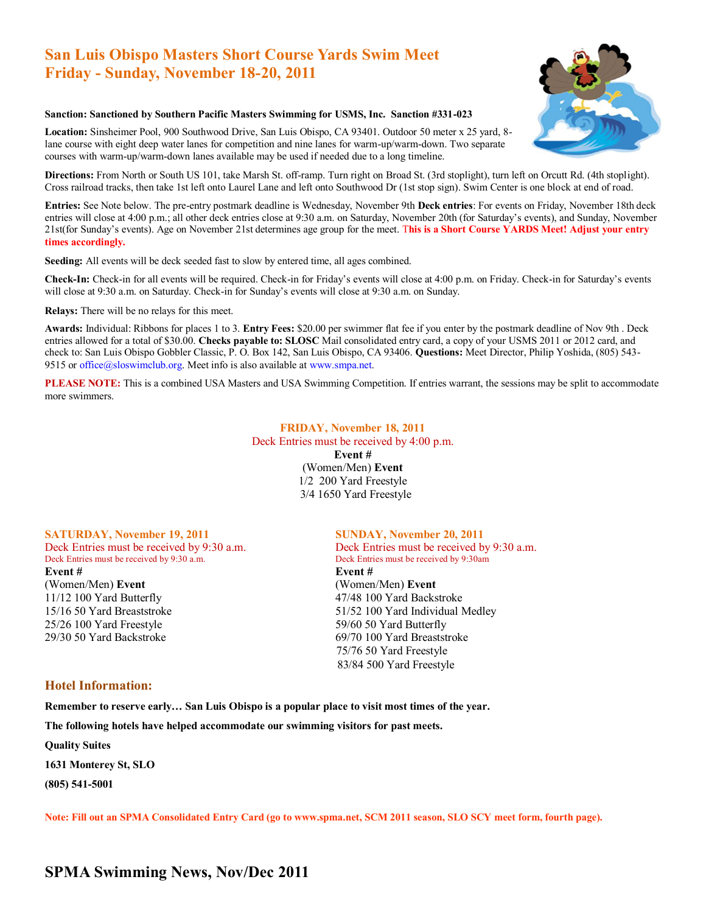### **San Luis Obispo Masters Short Course Yards Swim Meet Friday - Sunday, November 18-20, 2011**



#### **Sanction: Sanctioned by Southern Pacific Masters Swimming for USMS, Inc. Sanction #331-023**

**Location:** Sinsheimer Pool, 900 Southwood Drive, San Luis Obispo, CA 93401. Outdoor 50 meter x 25 yard, 8 lane course with eight deep water lanes for competition and nine lanes for warm-up/warm-down. Two separate courses with warm-up/warm-down lanes available may be used if needed due to a long timeline.

**Directions:** From North or South US 101, take Marsh St. off-ramp. Turn right on Broad St. (3rd stoplight), turn left on Orcutt Rd. (4th stoplight). Cross railroad tracks, then take 1st left onto Laurel Lane and left onto Southwood Dr (1st stop sign). Swim Center is one block at end of road.

**Entries:** See Note below. The pre-entry postmark deadline is Wednesday, November 9th **Deck entries**: For events on Friday, November 18th deck entries will close at 4:00 p.m.; all other deck entries close at 9:30 a.m. on Saturday, November 20th (for Saturday's events), and Sunday, November 21st(for Sunday's events). Age on November 21st determines age group for the meet. T**his is a Short Course YARDS Meet! Adjust your entry times accordingly.** 

**Seeding:** All events will be deck seeded fast to slow by entered time, all ages combined.

**Check-In:** Check-in for all events will be required. Check-in for Friday's events will close at 4:00 p.m. on Friday. Check-in for Saturday's events will close at 9:30 a.m. on Saturday. Check-in for Sunday's events will close at 9:30 a.m. on Sunday.

**Relays:** There will be no relays for this meet.

**Awards:** Individual: Ribbons for places 1 to 3. **Entry Fees:** \$20.00 per swimmer flat fee if you enter by the postmark deadline of Nov 9th . Deck entries allowed for a total of \$30.00. **Checks payable to: SLOSC** Mail consolidated entry card, a copy of your USMS 2011 or 2012 card, and check to: San Luis Obispo Gobbler Classic, P. O. Box 142, San Luis Obispo, CA 93406. **Questions:** Meet Director, Philip Yoshida, (805) 543- 9515 or office@sloswimclub.org. Meet info is also available at www.smpa.net.

**PLEASE NOTE:** This is a combined USA Masters and USA Swimming Competition. If entries warrant, the sessions may be split to accommodate more swimmers.

#### **FRIDAY, November 18, 2011**  Deck Entries must be received by 4:00 p.m.

**Event #**  (Women/Men) **Event**  1/2 200 Yard Freestyle 3/4 1650 Yard Freestyle

#### **SATURDAY, November 19, 2011 SUNDAY, November 20, 2011**

Deck Entries must be received by 9:30 a.m. Deck Entries must be received by 9:30am **Event # Event #** (Women/Men) **Event** (Women/Men) **Event**  11/12 100 Yard Butterfly 47/48 100 Yard Backstroke 15/16 50 Yard Breaststroke 51/52 100 Yard Individual Medley 25/26 100 Yard Freestyle 59/60 50 Yard Butterfly 29/30 50 Yard Backstroke 69/70 100 Yard Breaststroke

Deck Entries must be received by 9:30 a.m. Deck Entries must be received by 9:30 a.m. 75/76 50 Yard Freestyle 83/84 500 Yard Freestyle

#### **Hotel Information:**

**Remember to reserve early… San Luis Obispo is a popular place to visit most times of the year.** 

**The following hotels have helped accommodate our swimming visitors for past meets.** 

**Quality Suites** 

**1631 Monterey St, SLO** 

**(805) 541-5001**

**Note: Fill out an SPMA Consolidated Entry Card (go to www.spma.net, SCM 2011 season, SLO SCY meet form, fourth page).** 

### **SPMA Swimming News, Nov/Dec 2011**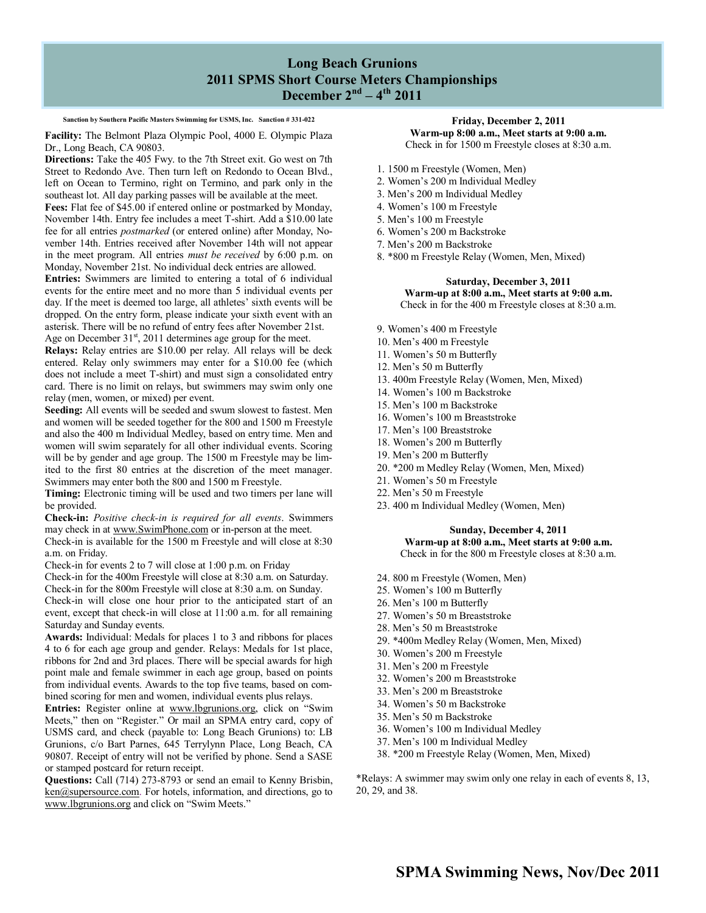### **Long Beach Grunions 2011 SPMS Short Course Meters Championships December 2nd – 4 th 2011**

#### **Sanction by Southern Pacific Masters Swimming for USMS, Inc. Sanction # 331-022**

**Facility:** The Belmont Plaza Olympic Pool, 4000 E. Olympic Plaza Dr., Long Beach, CA 90803.

**Directions:** Take the 405 Fwy. to the 7th Street exit. Go west on 7th Street to Redondo Ave. Then turn left on Redondo to Ocean Blvd., left on Ocean to Termino, right on Termino, and park only in the southeast lot. All day parking passes will be available at the meet.

**Fees:** Flat fee of \$45.00 if entered online or postmarked by Monday, November 14th. Entry fee includes a meet T-shirt. Add a \$10.00 late fee for all entries *postmarked* (or entered online) after Monday, November 14th. Entries received after November 14th will not appear in the meet program. All entries *must be received* by 6:00 p.m. on Monday, November 21st. No individual deck entries are allowed.

**Entries:** Swimmers are limited to entering a total of 6 individual events for the entire meet and no more than 5 individual events per day. If the meet is deemed too large, all athletes' sixth events will be dropped. On the entry form, please indicate your sixth event with an asterisk. There will be no refund of entry fees after November 21st. Age on December  $31<sup>st</sup>$ , 2011 determines age group for the meet.

**Relays:** Relay entries are \$10.00 per relay. All relays will be deck entered. Relay only swimmers may enter for a \$10.00 fee (which does not include a meet T-shirt) and must sign a consolidated entry card. There is no limit on relays, but swimmers may swim only one relay (men, women, or mixed) per event.

**Seeding:** All events will be seeded and swum slowest to fastest. Men and women will be seeded together for the 800 and 1500 m Freestyle and also the 400 m Individual Medley, based on entry time. Men and women will swim separately for all other individual events. Scoring will be by gender and age group. The 1500 m Freestyle may be limited to the first 80 entries at the discretion of the meet manager. Swimmers may enter both the 800 and 1500 m Freestyle.

**Timing:** Electronic timing will be used and two timers per lane will be provided.

**Check-in:** *Positive check-in is required for all events*. Swimmers may check in at www.SwimPhone.com or in-person at the meet. Check-in is available for the 1500 m Freestyle and will close at 8:30

a.m. on Friday.

Check-in for events 2 to 7 will close at 1:00 p.m. on Friday

Check-in for the 400m Freestyle will close at 8:30 a.m. on Saturday. Check-in for the 800m Freestyle will close at 8:30 a.m. on Sunday.

Check-in will close one hour prior to the anticipated start of an event, except that check-in will close at 11:00 a.m. for all remaining Saturday and Sunday events.

**Awards:** Individual: Medals for places 1 to 3 and ribbons for places 4 to 6 for each age group and gender. Relays: Medals for 1st place, ribbons for 2nd and 3rd places. There will be special awards for high point male and female swimmer in each age group, based on points from individual events. Awards to the top five teams, based on combined scoring for men and women, individual events plus relays.

**Entries:** Register online at www.lbgrunions.org, click on "Swim Meets," then on "Register." Or mail an SPMA entry card, copy of USMS card, and check (payable to: Long Beach Grunions) to: LB Grunions, c/o Bart Parnes, 645 Terrylynn Place, Long Beach, CA 90807. Receipt of entry will not be verified by phone. Send a SASE or stamped postcard for return receipt.

**Questions:** Call (714) 273-8793 or send an email to Kenny Brisbin, ken@supersource.com. For hotels, information, and directions, go to www.lbgrunions.org and click on "Swim Meets."

#### **Friday, December 2, 2011 Warm-up 8:00 a.m., Meet starts at 9:00 a.m.** Check in for 1500 m Freestyle closes at 8:30 a.m.

- 1. 1500 m Freestyle (Women, Men)
- 2. Women's 200 m Individual Medley
- 3. Men's 200 m Individual Medley
- 4. Women's 100 m Freestyle
- 5. Men's 100 m Freestyle
- 6. Women's 200 m Backstroke
- 7. Men's 200 m Backstroke
- 8. \*800 m Freestyle Relay (Women, Men, Mixed)

#### **Saturday, December 3, 2011 Warm-up at 8:00 a.m., Meet starts at 9:00 a.m.** Check in for the 400 m Freestyle closes at 8:30 a.m.

- 9. Women's 400 m Freestyle
- 10. Men's 400 m Freestyle
- 11. Women's 50 m Butterfly
- 12. Men's 50 m Butterfly
- 13. 400m Freestyle Relay (Women, Men, Mixed)
- 14. Women's 100 m Backstroke
- 15. Men's 100 m Backstroke
- 16. Women's 100 m Breaststroke
- 17. Men's 100 Breaststroke
- 18. Women's 200 m Butterfly
- 19. Men's 200 m Butterfly
- 20. \*200 m Medley Relay (Women, Men, Mixed)
- 21. Women's 50 m Freestyle
- 22. Men's 50 m Freestyle
- 23. 400 m Individual Medley (Women, Men)

#### **Sunday, December 4, 2011 Warm-up at 8:00 a.m., Meet starts at 9:00 a.m.**

Check in for the 800 m Freestyle closes at 8:30 a.m.

- 24. 800 m Freestyle (Women, Men)
- 25. Women's 100 m Butterfly
- 26. Men's 100 m Butterfly
- 27. Women's 50 m Breaststroke
- 28. Men's 50 m Breaststroke
- 29. \*400m Medley Relay (Women, Men, Mixed)
- 30. Women's 200 m Freestyle
- 31. Men's 200 m Freestyle
- 32. Women's 200 m Breaststroke
- 33. Men's 200 m Breaststroke
- 34. Women's 50 m Backstroke
- 35. Men's 50 m Backstroke
- 36. Women's 100 m Individual Medley
- 37. Men's 100 m Individual Medley
- 38. \*200 m Freestyle Relay (Women, Men, Mixed)

\*Relays: A swimmer may swim only one relay in each of events 8, 13, 20, 29, and 38.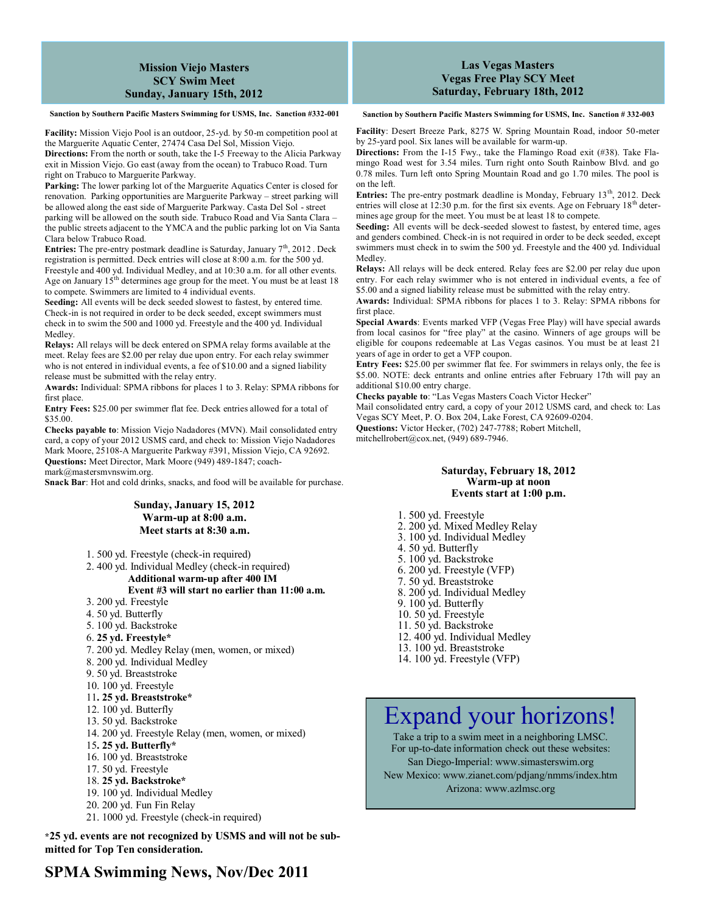#### **Mission Viejo Masters SCY Swim Meet Sunday, January 15th, 2012**

**Sanction by Southern Pacific Masters Swimming for USMS, Inc. Sanction #332-001**

**Facility:** Mission Viejo Pool is an outdoor, 25-yd. by 50-m competition pool at the Marguerite Aquatic Center, 27474 Casa Del Sol, Mission Viejo.

**Directions:** From the north or south, take the I-5 Freeway to the Alicia Parkway exit in Mission Viejo. Go east (away from the ocean) to Trabuco Road. Turn right on Trabuco to Marguerite Parkway.

Parking: The lower parking lot of the Marguerite Aquatics Center is closed for renovation. Parking opportunities are Marguerite Parkway – street parking will be allowed along the east side of Marguerite Parkway. Casta Del Sol - street parking will be allowed on the south side. Trabuco Road and Via Santa Clara – the public streets adjacent to the YMCA and the public parking lot on Via Santa Clara below Trabuco Road.

**Entries:** The pre-entry postmark deadline is Saturday, January  $7<sup>th</sup>$ , 2012. Deck registration is permitted. Deck entries will close at 8:00 a.m. for the 500 yd. Freestyle and 400 yd. Individual Medley, and at 10:30 a.m. for all other events. Age on January 15<sup>th</sup> determines age group for the meet. You must be at least 18 to compete. Swimmers are limited to 4 individual events.

**Seeding:** All events will be deck seeded slowest to fastest, by entered time. Check-in is not required in order to be deck seeded, except swimmers must check in to swim the 500 and 1000 yd. Freestyle and the 400 yd. Individual Medley.

**Relays:** All relays will be deck entered on SPMA relay forms available at the meet. Relay fees are \$2.00 per relay due upon entry. For each relay swimmer who is not entered in individual events, a fee of \$10.00 and a signed liability release must be submitted with the relay entry.

**Awards:** Individual: SPMA ribbons for places 1 to 3. Relay: SPMA ribbons for first place.

**Entry Fees:** \$25.00 per swimmer flat fee. Deck entries allowed for a total of \$35.00.

**Checks payable to**: Mission Viejo Nadadores (MVN). Mail consolidated entry card, a copy of your 2012 USMS card, and check to: Mission Viejo Nadadores Mark Moore, 25108-A Marguerite Parkway #391, Mission Viejo, CA 92692. **Questions:** Meet Director, Mark Moore (949) 489-1847; coach-

mark@mastersmvnswim.org.

**Snack Bar**: Hot and cold drinks, snacks, and food will be available for purchase.

#### **Sunday, January 15, 2012 Warm-up at 8:00 a.m. Meet starts at 8:30 a.m.**

- 1. 500 yd. Freestyle (check-in required)
- 2. 400 yd. Individual Medley (check-in required)
	- **Additional warm-up after 400 IM**

**Event #3 will start no earlier than 11:00 a.m.**

- 3. 200 yd. Freestyle
- 4. 50 yd. Butterfly
- 5. 100 yd. Backstroke
- 6. **25 yd. Freestyle\***
- 7. 200 yd. Medley Relay (men, women, or mixed)
- 8. 200 yd. Individual Medley
- 9. 50 yd. Breaststroke
- 10. 100 yd. Freestyle

#### 11**. 25 yd. Breaststroke\***

- 12. 100 yd. Butterfly
- 13. 50 yd. Backstroke
- 14. 200 yd. Freestyle Relay (men, women, or mixed)
- 15**. 25 yd. Butterfly\***
- 16. 100 yd. Breaststroke
- 17. 50 yd. Freestyle
- 18. **25 yd. Backstroke\***
- 19. 100 yd. Individual Medley
- 20. 200 yd. Fun Fin Relay
- 21. 1000 yd. Freestyle (check-in required)

**\*25 yd. events are not recognized by USMS and will not be submitted for Top Ten consideration.**

#### **Las Vegas Masters Vegas Free Play SCY Meet Saturday, February 18th, 2012**

**Sanction by Southern Pacific Masters Swimming for USMS, Inc. Sanction # 332-003**

**Facility**: Desert Breeze Park, 8275 W. Spring Mountain Road, indoor 50-meter by 25-yard pool. Six lanes will be available for warm-up.

**Directions:** From the I-15 Fwy., take the Flamingo Road exit (#38). Take Flamingo Road west for 3.54 miles. Turn right onto South Rainbow Blvd. and go 0.78 miles. Turn left onto Spring Mountain Road and go 1.70 miles. The pool is on the left.

**Entries:** The pre-entry postmark deadline is Monday, February 13<sup>th</sup>, 2012. Deck entries will close at 12:30 p.m. for the first six events. Age on February  $18<sup>th</sup>$  determines age group for the meet. You must be at least 18 to compete.

**Seeding:** All events will be deck-seeded slowest to fastest, by entered time, ages and genders combined. Check-in is not required in order to be deck seeded, except swimmers must check in to swim the 500 yd. Freestyle and the 400 yd. Individual Medley.

**Relays:** All relays will be deck entered. Relay fees are \$2.00 per relay due upon entry. For each relay swimmer who is not entered in individual events, a fee of \$5.00 and a signed liability release must be submitted with the relay entry.

**Awards:** Individual: SPMA ribbons for places 1 to 3. Relay: SPMA ribbons for first place.

**Special Awards**: Events marked VFP (Vegas Free Play) will have special awards from local casinos for "free play" at the casino. Winners of age groups will be eligible for coupons redeemable at Las Vegas casinos. You must be at least 21 years of age in order to get a VFP coupon.

**Entry Fees:** \$25.00 per swimmer flat fee. For swimmers in relays only, the fee is \$5.00. NOTE: deck entrants and online entries after February 17th will pay an additional \$10.00 entry charge.

**Checks payable to**: "Las Vegas Masters Coach Victor Hecker"

Mail consolidated entry card, a copy of your 2012 USMS card, and check to: Las Vegas SCY Meet, P. O. Box 204, Lake Forest, CA 92609-0204.

**Questions:** Victor Hecker, (702) 247-7788; Robert Mitchell,

mitchellrobert@cox.net, (949) 689-7946.

#### **Saturday, February 18, 2012 Warm-up at noon Events start at 1:00 p.m.**

1. 500 yd. Freestyle

- 2. 200 yd. Mixed Medley Relay
- 3. 100 yd. Individual Medley
- 4. 50 yd. Butterfly
- 5. 100 yd. Backstroke
- 6. 200 yd. Freestyle (VFP)
- 7. 50 yd. Breaststroke
- 8. 200 yd. Individual Medley
- 9. 100 yd. Butterfly
- 10. 50 yd. Freestyle
- 11. 50 yd. Backstroke
- 12. 400 yd. Individual Medley
- 13. 100 yd. Breaststroke
- 14. 100 yd. Freestyle (VFP)

# Expand your horizons!

Take a trip to a swim meet in a neighboring LMSC. For up-to-date information check out these websites: San Diego-Imperial: www.simasterswim.org New Mexico: www.zianet.com/pdjang/nmms/index.htm Arizona: www.azlmsc.org

**SPMA Swimming News, Nov/Dec 2011**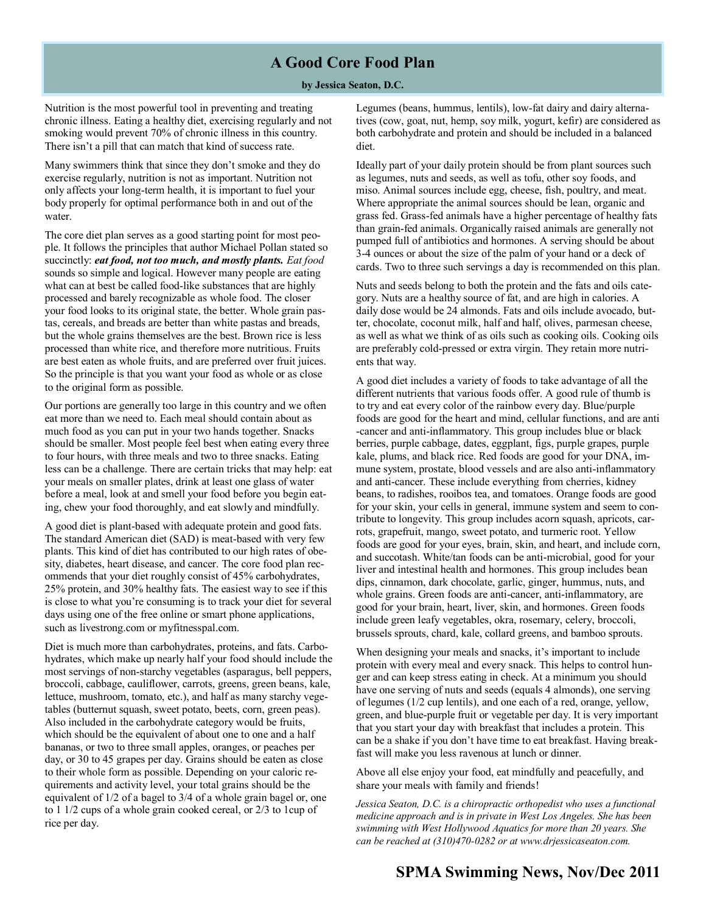### **A Good Core Food Plan**

#### **by Jessica Seaton, D.C.**

Nutrition is the most powerful tool in preventing and treating chronic illness. Eating a healthy diet, exercising regularly and not smoking would prevent 70% of chronic illness in this country. There isn't a pill that can match that kind of success rate.

Many swimmers think that since they don't smoke and they do exercise regularly, nutrition is not as important. Nutrition not only affects your long-term health, it is important to fuel your body properly for optimal performance both in and out of the water.

The core diet plan serves as a good starting point for most people. It follows the principles that author Michael Pollan stated so succinctly: *eat food, not too much, and mostly plants. Eat food* sounds so simple and logical. However many people are eating what can at best be called food-like substances that are highly processed and barely recognizable as whole food. The closer your food looks to its original state, the better. Whole grain pastas, cereals, and breads are better than white pastas and breads, but the whole grains themselves are the best. Brown rice is less processed than white rice, and therefore more nutritious. Fruits are best eaten as whole fruits, and are preferred over fruit juices. So the principle is that you want your food as whole or as close to the original form as possible.

Our portions are generally too large in this country and we often eat more than we need to. Each meal should contain about as much food as you can put in your two hands together. Snacks should be smaller. Most people feel best when eating every three to four hours, with three meals and two to three snacks. Eating less can be a challenge. There are certain tricks that may help: eat your meals on smaller plates, drink at least one glass of water before a meal, look at and smell your food before you begin eating, chew your food thoroughly, and eat slowly and mindfully.

A good diet is plant-based with adequate protein and good fats. The standard American diet (SAD) is meat-based with very few plants. This kind of diet has contributed to our high rates of obesity, diabetes, heart disease, and cancer. The core food plan recommends that your diet roughly consist of 45% carbohydrates, 25% protein, and 30% healthy fats. The easiest way to see if this is close to what you're consuming is to track your diet for several days using one of the free online or smart phone applications, such as livestrong.com or myfitnesspal.com.

Diet is much more than carbohydrates, proteins, and fats. Carbohydrates, which make up nearly half your food should include the most servings of non-starchy vegetables (asparagus, bell peppers, broccoli, cabbage, cauliflower, carrots, greens, green beans, kale, lettuce, mushroom, tomato, etc.), and half as many starchy vegetables (butternut squash, sweet potato, beets, corn, green peas). Also included in the carbohydrate category would be fruits, which should be the equivalent of about one to one and a half bananas, or two to three small apples, oranges, or peaches per day, or 30 to 45 grapes per day. Grains should be eaten as close to their whole form as possible. Depending on your caloric requirements and activity level, your total grains should be the equivalent of 1/2 of a bagel to 3/4 of a whole grain bagel or, one to 1 1/2 cups of a whole grain cooked cereal, or 2/3 to 1cup of rice per day.

Legumes (beans, hummus, lentils), low-fat dairy and dairy alternatives (cow, goat, nut, hemp, soy milk, yogurt, kefir) are considered as both carbohydrate and protein and should be included in a balanced diet.

Ideally part of your daily protein should be from plant sources such as legumes, nuts and seeds, as well as tofu, other soy foods, and miso. Animal sources include egg, cheese, fish, poultry, and meat. Where appropriate the animal sources should be lean, organic and grass fed. Grass-fed animals have a higher percentage of healthy fats than grain-fed animals. Organically raised animals are generally not pumped full of antibiotics and hormones. A serving should be about 3-4 ounces or about the size of the palm of your hand or a deck of cards. Two to three such servings a day is recommended on this plan.

Nuts and seeds belong to both the protein and the fats and oils category. Nuts are a healthy source of fat, and are high in calories. A daily dose would be 24 almonds. Fats and oils include avocado, butter, chocolate, coconut milk, half and half, olives, parmesan cheese, as well as what we think of as oils such as cooking oils. Cooking oils are preferably cold-pressed or extra virgin. They retain more nutrients that way.

A good diet includes a variety of foods to take advantage of all the different nutrients that various foods offer. A good rule of thumb is to try and eat every color of the rainbow every day. Blue/purple foods are good for the heart and mind, cellular functions, and are anti -cancer and anti-inflammatory. This group includes blue or black berries, purple cabbage, dates, eggplant, figs, purple grapes, purple kale, plums, and black rice. Red foods are good for your DNA, immune system, prostate, blood vessels and are also anti-inflammatory and anti-cancer. These include everything from cherries, kidney beans, to radishes, rooibos tea, and tomatoes. Orange foods are good for your skin, your cells in general, immune system and seem to contribute to longevity. This group includes acorn squash, apricots, carrots, grapefruit, mango, sweet potato, and turmeric root. Yellow foods are good for your eyes, brain, skin, and heart, and include corn, and succotash. White/tan foods can be anti-microbial, good for your liver and intestinal health and hormones. This group includes bean dips, cinnamon, dark chocolate, garlic, ginger, hummus, nuts, and whole grains. Green foods are anti-cancer, anti-inflammatory, are good for your brain, heart, liver, skin, and hormones. Green foods include green leafy vegetables, okra, rosemary, celery, broccoli, brussels sprouts, chard, kale, collard greens, and bamboo sprouts.

When designing your meals and snacks, it's important to include protein with every meal and every snack. This helps to control hunger and can keep stress eating in check. At a minimum you should have one serving of nuts and seeds (equals 4 almonds), one serving of legumes (1/2 cup lentils), and one each of a red, orange, yellow, green, and blue-purple fruit or vegetable per day. It is very important that you start your day with breakfast that includes a protein. This can be a shake if you don't have time to eat breakfast. Having breakfast will make you less ravenous at lunch or dinner.

Above all else enjoy your food, eat mindfully and peacefully, and share your meals with family and friends!

*Jessica Seaton, D.C. is a chiropractic orthopedist who uses a functional medicine approach and is in private in West Los Angeles. She has been swimming with West Hollywood Aquatics for more than 20 years. She can be reached at (310)470-0282 or at www.drjessicaseaton.com.* 

### **SPMA Swimming News, Nov/Dec 2011**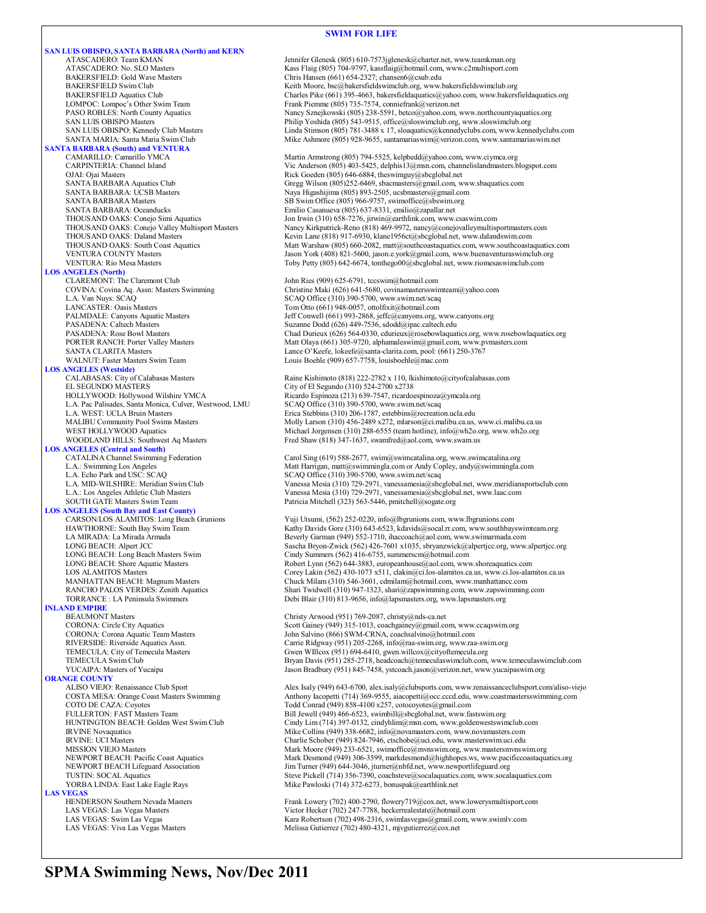#### **SWIM FOR LIFE**

**SAN LUIS OBISPO, SANTA BARBARA (North) and KERN** ATASCADERO: Team KMAN Jennifer Glenesk (805) 610-7573jglenesk@charter.net, www.teamkman.org ATASCADERO: No. SLO Masters Kass Flaig (805) 704-9797, kassflaig@hotmail.com, www.c2multisport.com BAKERSFIELD: Gold Wave Masters Chris Hansen (661) 654-2327; chansen 6@csub.edu<br>BAKERSFIELD Swim Club Chris Hansen Chris Hansen (661) 654-2327; chansen 6@csub.edu BAKERSFIELD Swim Club Keith Moore, bsc@bakersfieldswimclub.org, www.bakersfieldswimclub.org BAKERSFIELD Aquatics Club Charles Pike (661) 395-4663, bakersfieldaquatics@yahoo.com, www.bakersfieldaquatics.org LOMPOC: Lompoc's Other Swim Team Frank Piemme (805) 735-7574, conniefrank @verizon.net<br>
PASO ROBLES: North County Aquatics Namey Sznejkowski (805) 238-5591, betco@yahoo.com, PASO ROBLES: North County Aquatics Nancy Sznejkowski (805) 238-5591, betco@yahoo.com, www.northcountyaquatics.org<br>Philip Yoshida (805) 543-9515, office@sloswinclub.org, www.sloswinclub.org SAN LUIS OBISPO Masters **Philip Yoshida (805) 543-9515**, office@sloswimclub.org, www.sloswimclub.org<br>Philip Yoshida (805) 781-3488 x 17, sloaquatics@kennedyclubs.com, www.kenn **SANTA BARBARA (South) and VENTURA** OJAI: Ojai Masters<br>
OJAI: Ojai Masters Rick Goeden (805) 646-6884, theswimguy@sbcglobal.net<br>
SANTA BARBARA Aquatics Club<br>
Gregg Wilson (805)252-6469, sbacmasters@gmail.com, w SANTA BARBARA Aquatics Club Gregg Wilson (805)252-6469, sbacmasters@gmail.com, www.sbaquatics.com<br>SANTA BARBARA: UCSB Masters Mass and Maya Higashijima (805) 893-2505, ucsbmasters@gmail.com SANTA BARBARA: UCSB Masters Naya Higashijima (805) 893-2505, ucsbmasters@gmail.com<br>SANTA BARBARA Masters SANTA SES Swim Office (805) 966-9757, swimoffice@sbswim.org SANTA BARBARA Masters SB Swim Office (805) 966-9757, swimoffice@sbswim.org<br>SANTA BARBARA: Oceanducks Emilio Casanueva (805) 637-8331, emilio@zapallar.net SANTA BARBARA: Oceanducks Emilio Casanueva (805) 637-8331, emilio@zapallar.net THOUSAND OAKS: Conejo Simi Aquatics Jon Irwin (310) 658-7276, jirwin@earthlink.com, www.csaswim.com<br>THOUSAND OAKS: Conejo Valley Multisport Masters Nancy Kirkpatrick-Reno (818) 469-9972, nancy@conejovalleymultisp THOUSAND OAKS: Daland Masters Kevin Lane (818) 917-6930, klane1956ct@sbcglobal.net, www.dalandswim.com<br>THOUSAND OAKS: South Coast Aquatics Matt Warshaw (805) 660-2082, matt@southcoastaquatics.com, www.southcoasta **LOS ANGELES (North)** CLAREMONT: The Claremont Club John Ries (909) 625-6791, tccswim@hotmail.com<br>COVINA: Covina Aq. Assn: Masters Swimming Christine Maki (626) 641-5680, covinamastersswi COVINA: Covina Aq. Assn: Masters Swimming Christine Maki (626) 641-5680, covinamastersswimteam@yahoo.com L.A. Van Nuys: SCAQ Office (310) 390-5700, www.swim.net/scaq<br>
LANCASTER: Oasis Masters
SCAQ Office (310) 390-5700, www.swim.net/scaq LANCASTER: Oasis Masters Tom Otto (661) 948-0057, ottolfixit@hotmail.com<br>
PALMDALE: Canyons Aquatic Masters Tom Masters Jeff Conwell (661) 993-2868, jeffc@canyons.org, PALMDALE: Canyons Aquatic Masters Jeff Conwell (661) 993-2868, jeffc@canyons.org, www.canyons.org<br>PASADENA: Caltech Masters Jeff Conwell (661) 993-2868, jeffc@canyons.org, www.canyons.org PASADENA: Caltech Masters Suzanne Dodd (626) 449-7536, sdodd@ipac.caltech.edu<br>PASADENA: Rose Bowl Masters Chad Durieux (626) 564-0330, cdurieux@rosebowlaqua PORTER RANCH: Porter Valley Masters Matt Olaya (661) 305-9720, alphamaleswim@gmail.com, www.pvmasters.com SANTA CLARITA Masters Lance O'Keefe, lokeefe@santa-clarita.com, pool: (661) 250-3767 WALNUT: Faster Masters Swim Team Louis Boehle (909) 657-7758, louisboehle@mac.com **LOS ANGELES (Westside)** CALABASAS: City of Calabasas Masters Raine Kishimoto (818) 222-2782 x 110, lkishimoto@cityofcalabasas.com<br>EL SEGUNDO MASTERS City of El Segundo (310) 524-2700 x2738 EL SEGUNDO MASTERS<br>
HOLLYWOOD: Hollywood Wilshire YMCA<br>
Ricardo Espinoza (213) 639-7547, ricardo L.A. Pac Palisades, Santa Monica, Culver, Westwood, LMU L.A. WEST: UCLA Bruin Masters WOODLAND HILLS: Southwest Aq Masters Fred Shaw (818) 347-1637, swamfred@aol.com, www.swam.us **LOS ANGELES (Central and South)** CATALINA Channel Swimming Federation Carol Sing (619) 588-2677, swim@swimcatalina.org, www.swimcatalina.org<br>Carolynaming Los Angeles Matter of Matt Harrigan, matt@swimmingla.com or Andy Copley, andy@swimmingla.com L.A. Echo Park and USC: SCAQ<br>
L.A. MID-WILSHIRE: Meridian Swim Club<br>
L.A. MID-WILSHIRE: Meridian Swim Club<br>
Vanessa Mesia (310) 729-2971, vanessamesia@sbc L.A.: Los Angeles Athletic Club Masters Vanessa Mesia (310) 729-2971, vanessamesia@sbcglobal.net, www.laac.com<br>SOUTH GATE Masters Swim Team Patricia Mitchell (323) 563-5446, pmitchell@sogate.org **LOS ANGELES (South Bay and East County)** LONG BEACH: Long Beach Masters Swim Cindy Summers (562) 416-6755, summerscm@hotmail.com<br>
LONG BEACH: Shore Aquatic Masters Companies (562) 644-3883, europeanhouse@aol.com, www LONG BEACH: Shore Aquatic Masters Robert Lynn (562) 644-3883, europeanhouse@aol.com, www.shoreaquatics.com<br>
LOS ALAMITOS Masters Corey Lakin (562) 430-1073 x511, clakin@ci.los-alamitos.ca.us, www.ci.los-alam MANHATTAN BEACH: Magnum Masters Chuck Milam (310) 546-3601, cdmilam@hotmail.com, www.manhattancc.com<br>RANCHO PALOS VERDES: Zenith Aquatics Shari Twidwell (310) 947-1323, shari@zapswimming.com, www.zapswimming **INLAND EMPIRE**<br>BEAUMONT Masters BEAUMONT Masters Christy Arwood (951) 769-2087, christy@nds-ca.net<br>CORONA: Circle City Aquatics Coronal Scott Gainey (949) 315-1013, coachgainey@gmail.co CORONA: Corona Aquatic Team Masters John Salvino (866) SWM-CRNA, coachsalvino@hotmail.com<br>RIVERSIDE: Riverside Aquatics Assn. Carrie Ridgway (951) 205-2268, info@raa-swim.org, www.raa RIVERSIDE: Riverside Aquatics Assn.<br>
TEMECULA: City of Temecula Masters Currie Ridgway (951) 205-2268, info@raa-swim.org, www.raa-swim.org<br>
Gwen WIllcox (951) 694-6410, gwen.willcox@cityoftemecula.org **ORANGE COUNTY**<br>ALISO VIEJO: Renaissance Club Sport COTO DE CAZA: Coyotes Community Contract (949) 858-4100 x257, cotocoyotes@gmail.com<br>FULLERTON: FAST Masters Team Bill Jewell (949) 466-6523, swimbill@sbcglobal.net, www.fa HUNTINGTON BEACH: Golden West Swim Club Cindy Lim (714) 397-0132, cindyhlim@msn.com, www.goldenwestswimclub.com IRVINE Novaquatics COLLING COLLING COLLING (949) 338-6682, info@novamasters.com, www.novamasters.com<br>IRVINE: UCI Masters<br>Charlie Schober (949) 824-7946, ctschobe@uci.edu, www.masterswim.uci.edu IRVINE: UCI Masters<br>
IRVINE: UCI Masters Charlie Schober (949) 824-7946, ctschobe@uci.edu, www.masterswim.uci.edu<br>
Mark Moore (949) 233-6521, swimoffice@mvnswim.org, www.mastersmvnsw NEWPORT BEACH Lifeguard Association Jim Turner (949) 644-3046, jturner@nbfd.net, www.newportlifeguard.org<br>TUSTIN: SOCAL Aquatics **LAS VEGAS**<br> **HENDERSON Southern Nevada Masters** HENDERSON Southern Nevada Masters Frank Lowery (702) 400-2790, flowery 19@cox.net, www.lowerysmultisport.com<br>
LAS VEGAS: Las Vegas Masters Frank Lowery (702) 247-7788, heckerrealestate@hotmail.com LAS VEGAS: Las Vegas Masters Victor Hecker (702) 247-7788, heckerrealestate@hotmail.com<br>
LAS VEGAS: Swim Las Vegas Kara Robertson (702) 2498-2316, swimlasvegas@gmail.com, w

SAN LUIS OBISPO: Kennedy Club Masters Linda Stimson (805) 781-3488 x 17, sloaquatics@kennedyclubs.com, www.kennedyclubs.com<br>SANTA MARIA: Santa Maria Swim Club Mike Ashmore (805) 928-9655, santamariaswim@verizon.com, www.sa Mike Ashmore (805) 928-9655, santamariaswim@verizon.com, www.santamariaswim.net Martin Armstrong (805) 794-5525, kelpbedd@yahoo.com, www.ciymca.org CARPINTERIA: Channel Island Vic Anderson (805) 403-5425, delphis13@msn.com, channelislandmasters.blogspot.com THOUSAND OAKS: Conejo Valley Multisport Masters Nancy Kirkpatrick-Reno (818) 469-9972, nancy@conejovalleymultisportmasters.com<br>THOUSAND OAKS: Daland Masters Kevin Lane (818) 917-6930, klanel 956ct@sbcglobal.net, www.daland Matt Warshaw (805) 660-2082, matt@southcoastaquatics.com, www.southcoastaquatics.com VENTURA COUNTY Masters Jason York (408) 821-5600, jason.e.york@gmail.com, www.buenaventuraswimclub.org VENTURA: Rio Mesa Masters Toby Petty (805) 642-6674, tonthego00@sbcglobal.net, www.riomesaswimclub.com Chad Durieux (626) 564-0330, cdurieux@rosebowlaquatics.org, www.rosebowlaquatics.org Ricardo Espinoza (213) 639-7547, ricardoespinoza@ymcala.org<br>SCAQ Office (310) 390-5700, www.swim.net/scaq Erica Stebbins (310) 206-1787, estebbins@recreation.ucla.edu MALIBU Community Pool Swims Masters Molly Larson (310) 456-2489 x272, mlarson@ci.malibu.ca.us, www.ci.malibu.ca.us<br>WEST HOLLYWOOD Aquatics Michael Jorgensen (310) 288-6555 (team hotline), info@wh2o.org, www.wh2o.org Michael Jorgensen (310) 288-6555 (team hotline), info@wh2o.org, www.wh2o.org L.A. MID-WILSHIRE: Meridian Swim Club Vanessa Mesia (310) 729-2971, vanessamesia@sbcglobal.net, www.meridiansportsclub.com<br>L.A.: Los Angeles Athletic Club Masters Vanessamesia (310) 729-2971, vanessamesia@sbcglobal.net, ww Patricia Mitchell (323) 563-5446, pmitchell@sogate.org Yuji Utsumi, (562) 252-0220, info@lbgrunions.com, www.lbgrunions.com HAWTHORNE: South Bay Swim Team Kathy Davids Gore (310) 643-6523, kdavids@socal.rr.com, www.southbayswimteam.org<br>LA MIRADA: La Mirada Armada LA MIRADA: La Mirada Armada Beverly Garman (949) 552-1710, ihaccoach@aol.com, www.swimarmada.com LONG BEACH: Alpert JCC Sascha Bryon-Zwick (562) 426-7601 x1035, sbryanzwick@alpertjcc.org, www.alpertjcc.org LOS ALAMITOS Masters Corey Lakin (562) 430-1073 x511, clakin@ci.los-alamitos.ca.us, www.ci.los-alamitos.ca.us<br>MANHATTAN BEACH: Magnum Masters Chuck Milam (310) 546-3601, cdmilam@hotmail.com, www.manhattance.com RANCHO PALOS VERDES: Zenith Aquatics Shari Twidwell (310) 947-1323, shari@zapswimming.com, www.zapswimming.com<br>TORRANCE : LA Peninsula Swimmers Debi Blair (310) 813-9656, info@lapsmasters.org, www.lapsmasters.org Debi Blair (310) 813-9656, info@lapsmasters.org, www.lapsmasters.org Scott Gainey (949) 315-1013, coachgainey@gmail.com, www.ccaqswim.org TEMECULA: City of Temecula Masters Gwen WIllcox (951) 694-6410, gwen.willcox@cityoftemecula.org<br>TEMECULA Swim Club Gub Bryan Davis (951) 285-2718, headcoach@temeculaswimclub.com, www.temeculaswimclub.com YUCAIPA: Masters of Yucaipa Jason Bradbury (951) 845-7458, ystcoach.jason@verizon.net, www.yucaipaswim.org ALISO VIEJO: Renaissance Club Sport Alex Isaly (949) 643-6700, alex.isaly@clubsports.com, www.renaissanceclubsport.com/aliso-viejo<br>COSTA MESA: Orange Coast Masters Swimming Anthony Iacopetti (714) 369-9555, aiacopetti@occ. Anthony Iacopetti (714) 369-9555, aiacopetti@occ.cccd.edu, www.coastmastersswimming.com Bill Jewell (949) 466-6523, swimbill@sbcglobal.net, www.fastswim.org MISSION VIEJO Masters Mark Moore (949) 233-6521, swimoffice@mvnswim.org, www.mastersmvnswim.org<br>Mark Desmond (949) 306-3599, markdesmond@highhopes.ws, www.pacificcoastaqua NEWPORT BEACH: Pacific Coast Aquatics Mark Desmond (949) 306-3599, markdesmond@highhopes.ws, www.pacificcoastaquatics.org<br>Mark Desmond (949) 644-3046, jturner@nbfd.net, www.newportlifeguard.org MEARON DEWPORT BEACH Lifegua TUSTIN: SOCAL Aquatics<br>
YORBA LINDA: East Lake Eagle Rays Mike Pawloski (714) 372-6273, bonuspak@earthlink.net Mike Pawloski (714) 372-6273, bonuspak@earthlink.net

LAS VEGAS: Swim Las Vegas 
Kara Robertson (702) 498-2316, swimlasvegas@gmail.com, www.swimly.com<br>
LAS VEGAS: Viva Las Vegas Masters

Melissa Gutierrez (702) 480-4321. nivgutierrez@cox.net Melissa Gutierrez (702) 480-4321, mjvgutierrez@cox.net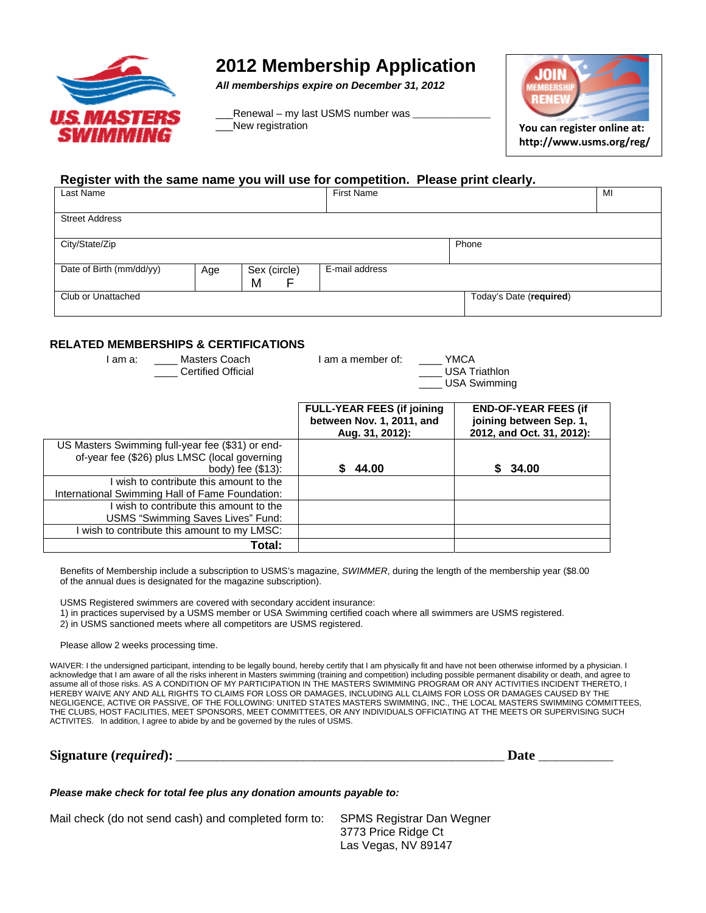

### **2012 Membership Application**

*All memberships expire on December 31, 2012* 

Renewal – my last USMS number was \_\_\_New registration **You can register online at:**



**http://www.usms.org/reg/**

#### **Register with the same name you will use for competition. Please print clearly.**

| Last Name                |     |                   | <b>First Name</b> |                         | MI |  |
|--------------------------|-----|-------------------|-------------------|-------------------------|----|--|
| <b>Street Address</b>    |     |                   |                   |                         |    |  |
| City/State/Zip           |     |                   |                   | Phone                   |    |  |
| Date of Birth (mm/dd/yy) | Age | Sex (circle)<br>M | E-mail address    |                         |    |  |
| Club or Unattached       |     |                   |                   | Today's Date (required) |    |  |
|                          |     |                   |                   |                         |    |  |

### **RELATED MEMBERSHIPS & CERTIFICATIONS**

| 11 LLA I LD MLMDLINJHII O & OLIN I II IVA HONO                                                                            |                                                                                    |                                                                                     |
|---------------------------------------------------------------------------------------------------------------------------|------------------------------------------------------------------------------------|-------------------------------------------------------------------------------------|
| I am a: Masters Coach<br><b>Certified Official</b>                                                                        | I am a member of:<br>YMCA<br>__ USA Triathlon<br><b>USA Swimming</b>               |                                                                                     |
|                                                                                                                           | <b>FULL-YEAR FEES (if joining)</b><br>between Nov. 1, 2011, and<br>Aug. 31, 2012): | <b>END-OF-YEAR FEES (if</b><br>joining between Sep. 1,<br>2012, and Oct. 31, 2012): |
| US Masters Swimming full-year fee (\$31) or end-<br>of-year fee (\$26) plus LMSC (local governing<br>body) fee $(\$13)$ : | 44.00                                                                              | 34.00<br>S.                                                                         |
| I wish to contribute this amount to the<br>International Swimming Hall of Fame Foundation:                                |                                                                                    |                                                                                     |
| I wish to contribute this amount to the<br>USMS "Swimming Saves Lives" Fund:                                              |                                                                                    |                                                                                     |
| I wish to contribute this amount to my LMSC:<br>Total:                                                                    |                                                                                    |                                                                                     |

Benefits of Membership include a subscription to USMS's magazine, *SWIMMER*, during the length of the membership year (\$8.00 of the annual dues is designated for the magazine subscription).

USMS Registered swimmers are covered with secondary accident insurance:

1) in practices supervised by a USMS member or USA Swimming certified coach where all swimmers are USMS registered.

2) in USMS sanctioned meets where all competitors are USMS registered.

Please allow 2 weeks processing time.

WAIVER: I the undersigned participant, intending to be legally bound, hereby certify that I am physically fit and have not been otherwise informed by a physician. I acknowledge that I am aware of all the risks inherent in Masters swimming (training and competition) including possible permanent disability or death, and agree to assume all of those risks. AS A CONDITION OF MY PARTICIPATION IN THE MASTERS SWIMMING PROGRAM OR ANY ACTIVITIES INCIDENT THERETO, I HEREBY WAIVE ANY AND ALL RIGHTS TO CLAIMS FOR LOSS OR DAMAGES, INCLUDING ALL CLAIMS FOR LOSS OR DAMAGES CAUSED BY THE NEGLIGENCE, ACTIVE OR PASSIVE, OF THE FOLLOWING: UNITED STATES MASTERS SWIMMING, INC., THE LOCAL MASTERS SWIMMING COMMITTEES, THE CLUBS, HOST FACILITIES, MEET SPONSORS, MEET COMMITTEES, OR ANY INDIVIDUALS OFFICIATING AT THE MEETS OR SUPERVISING SUCH ACTIVITES. In addition, I agree to abide by and be governed by the rules of USMS.

**Signature (***required***):** \_\_\_\_\_\_\_\_\_\_\_\_\_\_\_\_\_\_\_\_\_\_\_\_\_\_\_\_\_\_\_\_\_\_\_\_\_\_\_\_\_\_\_\_\_\_\_\_\_\_\_\_\_\_\_\_\_ **Date** \_\_\_\_\_\_\_\_\_\_\_\_\_

*Please make check for total fee plus any donation amounts payable to:*

Mail check (do not send cash) and completed form to: SPMS Registrar Dan Wegner

3773 Price Ridge Ct Las Vegas, NV 89147